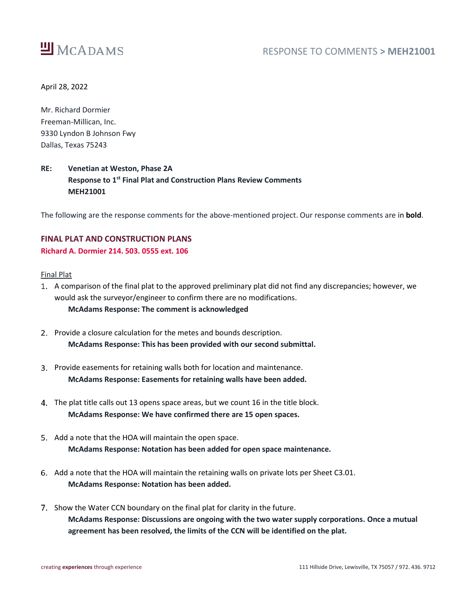

April 28, 2022

Mr. Richard Dormier Freeman-Millican, Inc. 9330 Lyndon B Johnson Fwy Dallas, Texas 75243

# **RE: Venetian at Weston, Phase 2A Response to 1 st Final Plat and Construction Plans Review Comments MEH21001**

The following are the response comments for the above-mentioned project. Our response comments are in **bold**.

## **FINAL PLAT AND CONSTRUCTION PLANS Richard A. Dormier 214. 503. 0555 ext. 106**

#### Final Plat

- A comparison of the final plat to the approved preliminary plat did not find any discrepancies; however, we would ask the surveyor/engineer to confirm there are no modifications. **McAdams Response: The comment is acknowledged**
- 2. Provide a closure calculation for the metes and bounds description. **McAdams Response: This has been provided with our second submittal.**
- 3. Provide easements for retaining walls both for location and maintenance. **McAdams Response: Easements for retaining walls have been added.**
- The plat title calls out 13 opens space areas, but we count 16 in the title block. **McAdams Response: We have confirmed there are 15 open spaces.**
- 5. Add a note that the HOA will maintain the open space. **McAdams Response: Notation has been added for open space maintenance.**
- Add a note that the HOA will maintain the retaining walls on private lots per Sheet C3.01. **McAdams Response: Notation has been added.**
- 7. Show the Water CCN boundary on the final plat for clarity in the future. **McAdams Response: Discussions are ongoing with the two water supply corporations. Once a mutual agreement has been resolved, the limits of the CCN will be identified on the plat.**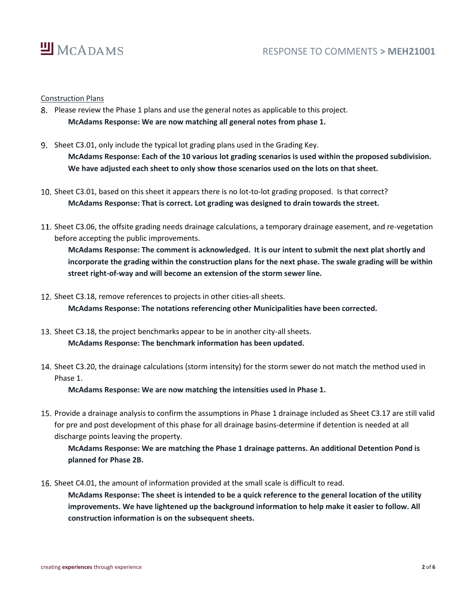

#### Construction Plans

- Please review the Phase 1 plans and use the general notes as applicable to this project. **McAdams Response: We are now matching all general notes from phase 1.**
- 9. Sheet C3.01, only include the typical lot grading plans used in the Grading Key. **McAdams Response: Each of the 10 various lot grading scenarios is used within the proposed subdivision. We have adjusted each sheet to only show those scenarios used on the lots on that sheet.**
- 10. Sheet C3.01, based on this sheet it appears there is no lot-to-lot grading proposed. Is that correct? **McAdams Response: That is correct. Lot grading was designed to drain towards the street.**
- 11. Sheet C3.06, the offsite grading needs drainage calculations, a temporary drainage easement, and re-vegetation before accepting the public improvements.

**McAdams Response: The comment is acknowledged. It is our intent to submit the next plat shortly and incorporate the grading within the construction plans for the next phase. The swale grading will be within street right-of-way and will become an extension of the storm sewer line.**

- 12. Sheet C3.18, remove references to projects in other cities-all sheets. **McAdams Response: The notations referencing other Municipalities have been corrected.**
- 13. Sheet C3.18, the project benchmarks appear to be in another city-all sheets. **McAdams Response: The benchmark information has been updated.**
- 14. Sheet C3.20, the drainage calculations (storm intensity) for the storm sewer do not match the method used in Phase 1.

**McAdams Response: We are now matching the intensities used in Phase 1.**

15. Provide a drainage analysis to confirm the assumptions in Phase 1 drainage included as Sheet C3.17 are still valid for pre and post development of this phase for all drainage basins-determine if detention is needed at all discharge points leaving the property.

**McAdams Response: We are matching the Phase 1 drainage patterns. An additional Detention Pond is planned for Phase 2B.**

16. Sheet C4.01, the amount of information provided at the small scale is difficult to read.

**McAdams Response: The sheet is intended to be a quick reference to the general location of the utility improvements. We have lightened up the background information to help make it easier to follow. All construction information is on the subsequent sheets.**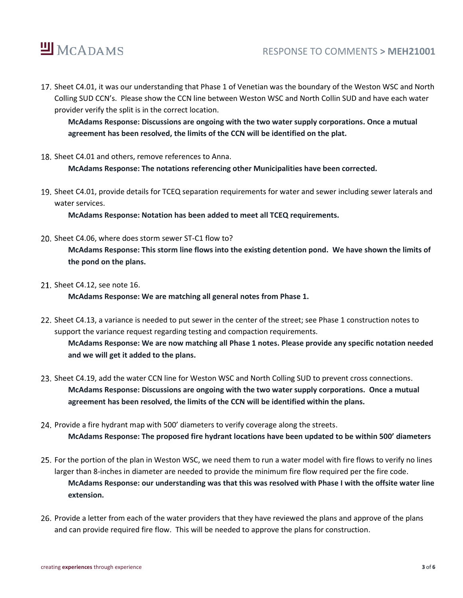

## RESPONSE TO COMMENTS **> MEH21001**

17. Sheet C4.01, it was our understanding that Phase 1 of Venetian was the boundary of the Weston WSC and North Colling SUD CCN's. Please show the CCN line between Weston WSC and North Collin SUD and have each water provider verify the split is in the correct location.

**McAdams Response: Discussions are ongoing with the two water supply corporations. Once a mutual agreement has been resolved, the limits of the CCN will be identified on the plat.**

18. Sheet C4.01 and others, remove references to Anna.

**McAdams Response: The notations referencing other Municipalities have been corrected.** 

19. Sheet C4.01, provide details for TCEQ separation requirements for water and sewer including sewer laterals and water services.

**McAdams Response: Notation has been added to meet all TCEQ requirements.**

20. Sheet C4.06, where does storm sewer ST-C1 flow to?

**McAdams Response: This storm line flows into the existing detention pond. We have shown the limits of the pond on the plans.**

21. Sheet C4.12, see note 16.

**McAdams Response: We are matching all general notes from Phase 1.**

- 22. Sheet C4.13, a variance is needed to put sewer in the center of the street; see Phase 1 construction notes to support the variance request regarding testing and compaction requirements. **McAdams Response: We are now matching all Phase 1 notes. Please provide any specific notation needed and we will get it added to the plans.**
- 23. Sheet C4.19, add the water CCN line for Weston WSC and North Colling SUD to prevent cross connections. **McAdams Response: Discussions are ongoing with the two water supply corporations. Once a mutual agreement has been resolved, the limits of the CCN will be identified within the plans.**
- 24. Provide a fire hydrant map with 500' diameters to verify coverage along the streets. **McAdams Response: The proposed fire hydrant locations have been updated to be within 500' diameters**
- 25. For the portion of the plan in Weston WSC, we need them to run a water model with fire flows to verify no lines larger than 8-inches in diameter are needed to provide the minimum fire flow required per the fire code. **McAdams Response: our understanding was that this was resolved with Phase I with the offsite water line extension.**
- 26. Provide a letter from each of the water providers that they have reviewed the plans and approve of the plans and can provide required fire flow. This will be needed to approve the plans for construction.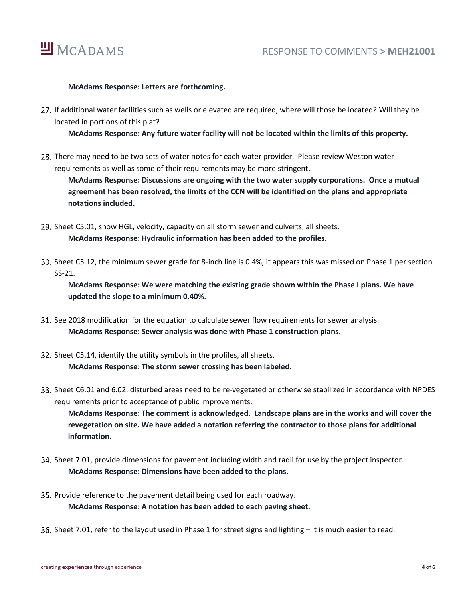

### **McAdams Response: Letters are forthcoming.**

27. If additional water facilities such as wells or elevated are required, where will those be located? Will they be located in portions of this plat?

**McAdams Response: Any future water facility will not be located within the limits of this property.**

28. There may need to be two sets of water notes for each water provider. Please review Weston water requirements as well as some of their requirements may be more stringent.

**McAdams Response: Discussions are ongoing with the two water supply corporations. Once a mutual agreement has been resolved, the limits of the CCN will be identified on the plans and appropriate notations included.**

- 29. Sheet C5.01, show HGL, velocity, capacity on all storm sewer and culverts, all sheets. **McAdams Response: Hydraulic information has been added to the profiles.**
- 30. Sheet C5.12, the minimum sewer grade for 8-inch line is 0.4%, it appears this was missed on Phase 1 per section SS-21.

**McAdams Response: We were matching the existing grade shown within the Phase I plans. We have updated the slope to a minimum 0.40%.**

- See 2018 modification for the equation to calculate sewer flow requirements for sewer analysis. **McAdams Response: Sewer analysis was done with Phase 1 construction plans.**
- 32. Sheet C5.14, identify the utility symbols in the profiles, all sheets. **McAdams Response: The storm sewer crossing has been labeled.**
- Sheet C6.01 and 6.02, disturbed areas need to be re-vegetated or otherwise stabilized in accordance with NPDES requirements prior to acceptance of public improvements.

**McAdams Response: The comment is acknowledged. Landscape plans are in the works and will cover the revegetation on site. We have added a notation referring the contractor to those plans for additional information.**

- 34. Sheet 7.01, provide dimensions for pavement including width and radii for use by the project inspector. **McAdams Response: Dimensions have been added to the plans.**
- 35. Provide reference to the pavement detail being used for each roadway. **McAdams Response: A notation has been added to each paving sheet.**
- Sheet 7.01, refer to the layout used in Phase 1 for street signs and lighting it is much easier to read.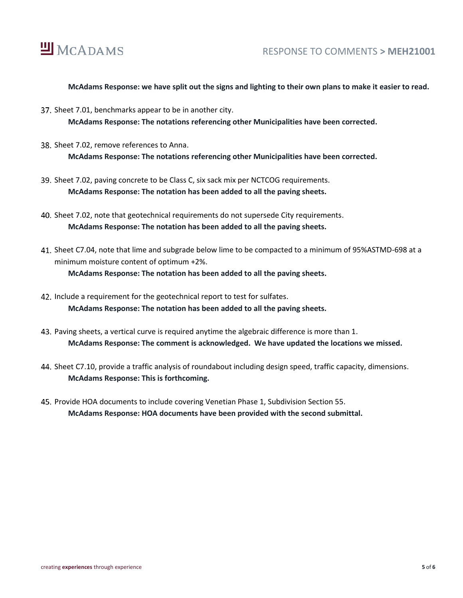

### **McAdams Response: we have split out the signs and lighting to their own plans to make it easier to read.**

- 37. Sheet 7.01, benchmarks appear to be in another city. **McAdams Response: The notations referencing other Municipalities have been corrected.**
- 38. Sheet 7.02, remove references to Anna. **McAdams Response: The notations referencing other Municipalities have been corrected.**
- 39. Sheet 7.02, paving concrete to be Class C, six sack mix per NCTCOG requirements. **McAdams Response: The notation has been added to all the paving sheets.**
- 40. Sheet 7.02, note that geotechnical requirements do not supersede City requirements. **McAdams Response: The notation has been added to all the paving sheets.**
- Sheet C7.04, note that lime and subgrade below lime to be compacted to a minimum of 95%ASTMD-698 at a minimum moisture content of optimum +2%. **McAdams Response: The notation has been added to all the paving sheets.**
- 42. Include a requirement for the geotechnical report to test for sulfates. **McAdams Response: The notation has been added to all the paving sheets.**
- 43. Paving sheets, a vertical curve is required anytime the algebraic difference is more than 1. **McAdams Response: The comment is acknowledged. We have updated the locations we missed.**
- Sheet C7.10, provide a traffic analysis of roundabout including design speed, traffic capacity, dimensions. **McAdams Response: This is forthcoming.**
- 45. Provide HOA documents to include covering Venetian Phase 1, Subdivision Section 55. **McAdams Response: HOA documents have been provided with the second submittal.**